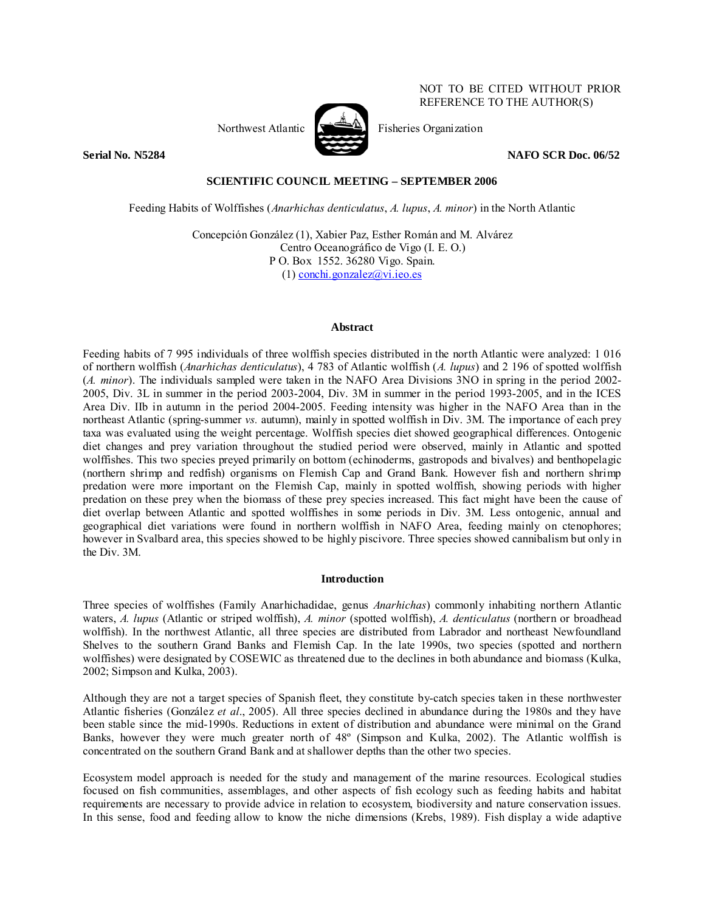

NOT TO BE CITED WITHOUT PRIOR REFERENCE TO THE AUTHOR(S)

Northwest Atlantic  $\mathbb{R}$  Fisheries Organization

**Serial No. N5284 NAFO SCR Doc. 06/52 NAFO SCR Doc. 06/52** 

# **SCIENTIFIC COUNCIL MEETING – SEPTEMBER 2006**

Feeding Habits of Wolffishes (*Anarhichas denticulatus*, *A. lupus*, *A. minor*) in the North Atlantic

Concepción González (1), Xabier Paz, Esther Román and M. Alvárez Centro Oceanográfico de Vigo (I. E. O.) P O. Box 1552. 36280 Vigo. Spain. (1) conchi.gonzalez@vi.ieo.es

### **Abstract**

Feeding habits of 7 995 individuals of three wolffish species distributed in the north Atlantic were analyzed: 1 016 of northern wolffish (*Anarhichas denticulatus*), 4 783 of Atlantic wolffish (*A. lupus*) and 2 196 of spotted wolffish (*A. minor*). The individuals sampled were taken in the NAFO Area Divisions 3NO in spring in the period 2002- 2005, Div. 3L in summer in the period 2003-2004, Div. 3M in summer in the period 1993-2005, and in the ICES Area Div. IIb in autumn in the period 2004-2005. Feeding intensity was higher in the NAFO Area than in the northeast Atlantic (spring-summer *vs.* autumn), mainly in spotted wolffish in Div. 3M. The importance of each prey taxa was evaluated using the weight percentage. Wolffish species diet showed geographical differences. Ontogenic diet changes and prey variation throughout the studied period were observed, mainly in Atlantic and spotted wolffishes. This two species preyed primarily on bottom (echinoderms, gastropods and bivalves) and benthopelagic (northern shrimp and redfish) organisms on Flemish Cap and Grand Bank. However fish and northern shrimp predation were more important on the Flemish Cap, mainly in spotted wolffish, showing periods with higher predation on these prey when the biomass of these prey species increased. This fact might have been the cause of diet overlap between Atlantic and spotted wolffishes in some periods in Div. 3M. Less ontogenic, annual and geographical diet variations were found in northern wolffish in NAFO Area, feeding mainly on ctenophores; however in Svalbard area, this species showed to be highly piscivore. Three species showed cannibalism but only in the Div. 3M.

# **Introduction**

Three species of wolffishes (Family Anarhichadidae, genus *Anarhichas*) commonly inhabiting northern Atlantic waters, *A. lupus* (Atlantic or striped wolffish), *A. minor* (spotted wolffish), *A. denticulatus* (northern or broadhead wolffish). In the northwest Atlantic, all three species are distributed from Labrador and northeast Newfoundland Shelves to the southern Grand Banks and Flemish Cap. In the late 1990s, two species (spotted and northern wolffishes) were designated by COSEWIC as threatened due to the declines in both abundance and biomass (Kulka, 2002; Simpson and Kulka, 2003).

Although they are not a target species of Spanish fleet, they constitute by-catch species taken in these northwester Atlantic fisheries (González *et al*., 2005). All three species declined in abundance during the 1980s and they have been stable since the mid-1990s. Reductions in extent of distribution and abundance were minimal on the Grand Banks, however they were much greater north of 48º (Simpson and Kulka, 2002). The Atlantic wolffish is concentrated on the southern Grand Bank and at shallower depths than the other two species.

Ecosystem model approach is needed for the study and management of the marine resources. Ecological studies focused on fish communities, assemblages, and other aspects of fish ecology such as feeding habits and habitat requirements are necessary to provide advice in relation to ecosystem, biodiversity and nature conservation issues. In this sense, food and feeding allow to know the niche dimensions (Krebs, 1989). Fish display a wide adaptive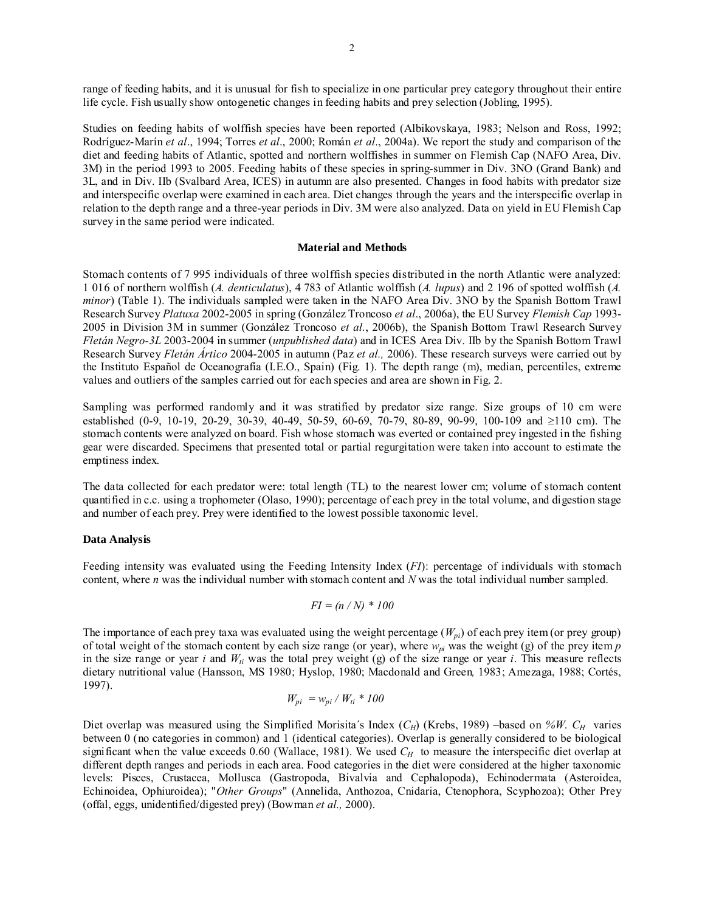range of feeding habits, and it is unusual for fish to specialize in one particular prey category throughout their entire life cycle. Fish usually show ontogenetic changes in feeding habits and prey selection (Jobling, 1995).

Studies on feeding habits of wolffish species have been reported (Albikovskaya, 1983; Nelson and Ross, 1992; Rodríguez-Marín *et al*., 1994; Torres *et al*., 2000; Román *et al*., 2004a). We report the study and comparison of the diet and feeding habits of Atlantic, spotted and northern wolffishes in summer on Flemish Cap (NAFO Area, Div. 3M) in the period 1993 to 2005. Feeding habits of these species in spring-summer in Div. 3NO (Grand Bank) and 3L, and in Div. IIb (Svalbard Area, ICES) in autumn are also presented. Changes in food habits with predator size and interspecific overlap were examined in each area. Diet changes through the years and the interspecific overlap in relation to the depth range and a three-year periods in Div. 3M were also analyzed. Data on yield in EU Flemish Cap survey in the same period were indicated.

### **Material and Methods**

Stomach contents of 7 995 individuals of three wolffish species distributed in the north Atlantic were analyzed: 1 016 of northern wolffish (*A. denticulatus*), 4 783 of Atlantic wolffish (*A. lupus*) and 2 196 of spotted wolffish (*A. minor*) (Table 1). The individuals sampled were taken in the NAFO Area Div. 3NO by the Spanish Bottom Trawl Research Survey *Platuxa* 2002-2005 in spring (González Troncoso *et al*., 2006a), the EU Survey *Flemish Cap* 1993- 2005 in Division 3M in summer (González Troncoso *et al.*, 2006b), the Spanish Bottom Trawl Research Survey *Fletán Negro-3L* 2003-2004 in summer (*unpublished data*) and in ICES Area Div. IIb by the Spanish Bottom Trawl Research Survey *Fletán Ártico* 2004-2005 in autumn (Paz *et al.,* 2006). These research surveys were carried out by the Instituto Español de Oceanografía (I.E.O., Spain) (Fig. 1). The depth range (m), median, percentiles, extreme values and outliers of the samples carried out for each species and area are shown in Fig. 2.

Sampling was performed randomly and it was stratified by predator size range. Size groups of 10 cm were established (0-9, 10-19, 20-29, 30-39, 40-49, 50-59, 60-69, 70-79, 80-89, 90-99, 100-109 and ≥110 cm). The stomach contents were analyzed on board. Fish whose stomach was everted or contained prey ingested in the fishing gear were discarded. Specimens that presented total or partial regurgitation were taken into account to estimate the emptiness index.

The data collected for each predator were: total length (TL) to the nearest lower cm; volume of stomach content quantified in c.c. using a trophometer (Olaso, 1990); percentage of each prey in the total volume, and digestion stage and number of each prey. Prey were identified to the lowest possible taxonomic level.

# **Data Analysis**

Feeding intensity was evaluated using the Feeding Intensity Index (*FI*): percentage of individuals with stomach content, where *n* was the individual number with stomach content and *N* was the total individual number sampled.

$$
FI = (n/N) * 100
$$

The importance of each prey taxa was evaluated using the weight percentage  $(W_{pi})$  of each prey item (or prey group) of total weight of the stomach content by each size range (or year), where  $w_{pi}$  was the weight (g) of the prey item  $p$ in the size range or year  $i$  and  $W_{ti}$  was the total prey weight (g) of the size range or year  $i$ . This measure reflects dietary nutritional value (Hansson, MS 1980; Hyslop, 1980; Macdonald and Green*,* 1983; Amezaga, 1988; Cortés, 1997).

$$
W_{pi} = w_{pi} / W_{ti} * 100
$$

Diet overlap was measured using the Simplified Morisita's Index  $(C_H)$  (Krebs, 1989) –based on *%W*.  $C_H$  varies between 0 (no categories in common) and 1 (identical categories). Overlap is generally considered to be biological significant when the value exceeds  $0.60$  (Wallace, 1981). We used  $C_H$  to measure the interspecific diet overlap at different depth ranges and periods in each area. Food categories in the diet were considered at the higher taxonomic levels: Pisces, Crustacea, Mollusca (Gastropoda, Bivalvia and Cephalopoda), Echinodermata (Asteroidea, Echinoidea, Ophiuroidea); "*Other Groups*" (Annelida, Anthozoa, Cnidaria, Ctenophora, Scyphozoa); Other Prey (offal, eggs, unidentified/digested prey) (Bowman *et al.,* 2000).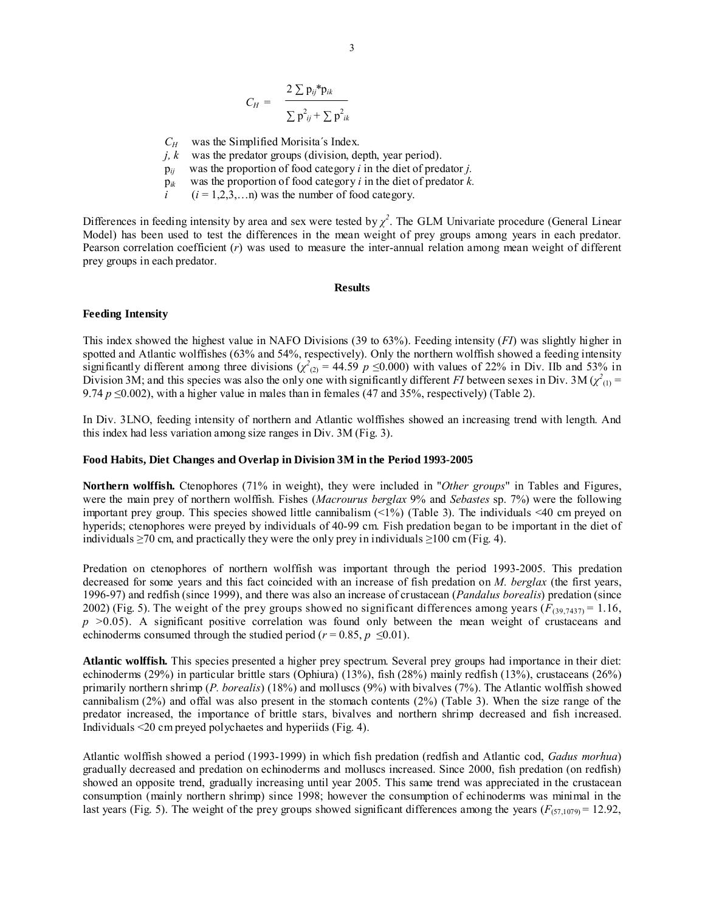$$
C_H = \frac{2 \sum p_{ij}^* p_{ik}}{\sum p_{ij}^2 + \sum p_{ik}^2}
$$

- $C_H$  was the Simplified Morisita's Index.
- *j, k* was the predator groups (division, depth, year period).
- p*ij* was the proportion of food category *i* in the diet of predator *j.*
- p*ik* was the proportion of food category *i* in the diet of predator *k.*
- $i$  ( $i = 1,2,3,...n$ ) was the number of food category.

Differences in feeding intensity by area and sex were tested by  $\chi^2$ . The GLM Univariate procedure (General Linear Model) has been used to test the differences in the mean weight of prey groups among years in each predator. Pearson correlation coefficient (*r*) was used to measure the inter-annual relation among mean weight of different prey groups in each predator.

#### **Results**

#### **Feeding Intensity**

This index showed the highest value in NAFO Divisions (39 to 63%). Feeding intensity (*FI*) was slightly higher in spotted and Atlantic wolffishes (63% and 54%, respectively). Only the northern wolffish showed a feeding intensity significantly different among three divisions  $(\chi^2_{(2)} = 44.59 \ p \le 0.000)$  with values of 22% in Div. IIb and 53% in Division 3M; and this species was also the only one with significantly different *FI* between sexes in Div. 3M ( $\chi^2_{(1)}$  = 9.74  $p \le 0.002$ ), with a higher value in males than in females (47 and 35%, respectively) (Table 2).

In Div. 3LNO, feeding intensity of northern and Atlantic wolffishes showed an increasing trend with length. And this index had less variation among size ranges in Div. 3M (Fig. 3).

#### **Food Habits, Diet Changes and Overlap in Division 3M in the Period 1993-2005**

**Northern wolffish.** Ctenophores (71% in weight), they were included in "*Other groups*" in Tables and Figures, were the main prey of northern wolffish. Fishes (*Macrourus berglax* 9% and *Sebastes* sp. 7%) were the following important prey group. This species showed little cannibalism (<1%) (Table 3). The individuals <40 cm preyed on hyperids; ctenophores were preyed by individuals of 40-99 cm. Fish predation began to be important in the diet of individuals  $\geq$ 70 cm, and practically they were the only prey in individuals  $\geq$ 100 cm (Fig. 4).

Predation on ctenophores of northern wolffish was important through the period 1993-2005. This predation decreased for some years and this fact coincided with an increase of fish predation on *M. berglax* (the first years, 1996-97) and redfish (since 1999), and there was also an increase of crustacean (*Pandalus borealis*) predation (since 2002) (Fig. 5). The weight of the prey groups showed no significant differences among years  $(F_{(39,7437)} = 1.16$ , *p* >0.05). A significant positive correlation was found only between the mean weight of crustaceans and echinoderms consumed through the studied period ( $r = 0.85$ ,  $p \le 0.01$ ).

**Atlantic wolffish.** This species presented a higher prey spectrum. Several prey groups had importance in their diet: echinoderms (29%) in particular brittle stars (Ophiura) (13%), fish (28%) mainly redfish (13%), crustaceans (26%) primarily northern shrimp (*P. borealis*) (18%) and molluscs (9%) with bivalves (7%). The Atlantic wolffish showed cannibalism (2%) and offal was also present in the stomach contents (2%) (Table 3). When the size range of the predator increased, the importance of brittle stars, bivalves and northern shrimp decreased and fish increased. Individuals <20 cm preyed polychaetes and hyperiids (Fig. 4).

Atlantic wolffish showed a period (1993-1999) in which fish predation (redfish and Atlantic cod, *Gadus morhua*) gradually decreased and predation on echinoderms and molluscs increased. Since 2000, fish predation (on redfish) showed an opposite trend, gradually increasing until year 2005. This same trend was appreciated in the crustacean consumption (mainly northern shrimp) since 1998; however the consumption of echinoderms was minimal in the last years (Fig. 5). The weight of the prey groups showed significant differences among the years ( $F_{(57,1079)} = 12.92$ ,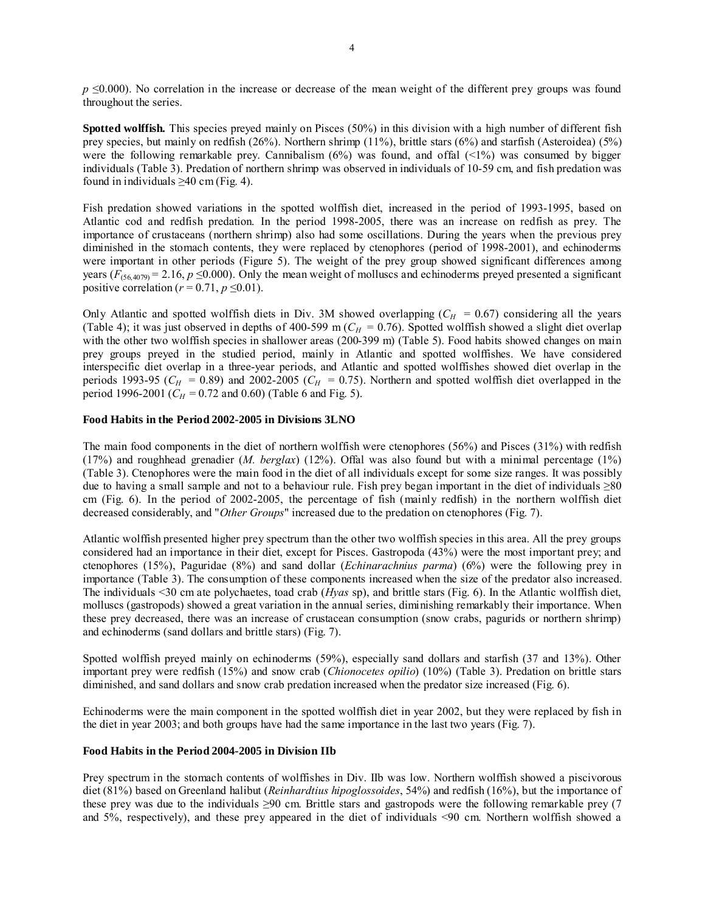*p* ≤0.000). No correlation in the increase or decrease of the mean weight of the different prey groups was found throughout the series.

**Spotted wolffish.** This species preyed mainly on Pisces (50%) in this division with a high number of different fish prey species, but mainly on redfish (26%). Northern shrimp (11%), brittle stars (6%) and starfish (Asteroidea) (5%) were the following remarkable prey. Cannibalism  $(6%)$  was found, and offal  $(1%)$  was consumed by bigger individuals (Table 3). Predation of northern shrimp was observed in individuals of 10-59 cm, and fish predation was found in individuals  $\geq$ 40 cm (Fig. 4).

Fish predation showed variations in the spotted wolffish diet, increased in the period of 1993-1995, based on Atlantic cod and redfish predation. In the period 1998-2005, there was an increase on redfish as prey. The importance of crustaceans (northern shrimp) also had some oscillations. During the years when the previous prey diminished in the stomach contents, they were replaced by ctenophores (period of 1998-2001), and echinoderms were important in other periods (Figure 5). The weight of the prey group showed significant differences among years ( $F_{(56,4079)} = 2.16$ ,  $p \le 0.000$ ). Only the mean weight of molluscs and echinoderms preyed presented a significant positive correlation ( $r = 0.71$ ,  $p \le 0.01$ ).

Only Atlantic and spotted wolffish diets in Div. 3M showed overlapping  $(C_H = 0.67)$  considering all the years (Table 4); it was just observed in depths of 400-599 m ( $C_H$  = 0.76). Spotted wolffish showed a slight diet overlap with the other two wolffish species in shallower areas (200-399 m) (Table 5). Food habits showed changes on main prey groups preyed in the studied period, mainly in Atlantic and spotted wolffishes. We have considered interspecific diet overlap in a three-year periods, and Atlantic and spotted wolffishes showed diet overlap in the periods 1993-95 ( $C_H$  = 0.89) and 2002-2005 ( $C_H$  = 0.75). Northern and spotted wolffish diet overlapped in the period 1996-2001 ( $C_H$  = 0.72 and 0.60) (Table 6 and Fig. 5).

# **Food Habits in the Period 2002-2005 in Divisions 3LNO**

The main food components in the diet of northern wolffish were ctenophores (56%) and Pisces (31%) with redfish (17%) and roughhead grenadier (*M. berglax*) (12%). Offal was also found but with a minimal percentage (1%) (Table 3). Ctenophores were the main food in the diet of all individuals except for some size ranges. It was possibly due to having a small sample and not to a behaviour rule. Fish prey began important in the diet of individuals  $\geq 80$ cm (Fig. 6). In the period of 2002-2005, the percentage of fish (mainly redfish) in the northern wolffish diet decreased considerably, and "*Other Groups*" increased due to the predation on ctenophores (Fig. 7).

Atlantic wolffish presented higher prey spectrum than the other two wolffish species in this area. All the prey groups considered had an importance in their diet, except for Pisces. Gastropoda (43%) were the most important prey; and ctenophores (15%), Paguridae (8%) and sand dollar (*Echinarachnius parma*) (6%) were the following prey in importance (Table 3). The consumption of these components increased when the size of the predator also increased. The individuals <30 cm ate polychaetes, toad crab (*Hyas* sp), and brittle stars (Fig. 6). In the Atlantic wolffish diet, molluscs (gastropods) showed a great variation in the annual series, diminishing remarkably their importance. When these prey decreased, there was an increase of crustacean consumption (snow crabs, pagurids or northern shrimp) and echinoderms (sand dollars and brittle stars) (Fig. 7).

Spotted wolffish preyed mainly on echinoderms (59%), especially sand dollars and starfish (37 and 13%). Other important prey were redfish (15%) and snow crab (*Chionocetes opilio*) (10%) (Table 3). Predation on brittle stars diminished, and sand dollars and snow crab predation increased when the predator size increased (Fig. 6).

Echinoderms were the main component in the spotted wolffish diet in year 2002, but they were replaced by fish in the diet in year 2003; and both groups have had the same importance in the last two years (Fig. 7).

# **Food Habits in the Period 2004-2005 in Division IIb**

Prey spectrum in the stomach contents of wolffishes in Div. IIb was low. Northern wolffish showed a piscivorous diet (81%) based on Greenland halibut (*Reinhardtius hipoglossoides*, 54%) and redfish (16%), but the importance of these prey was due to the individuals ≥90 cm. Brittle stars and gastropods were the following remarkable prey (7 and 5%, respectively), and these prey appeared in the diet of individuals <90 cm. Northern wolffish showed a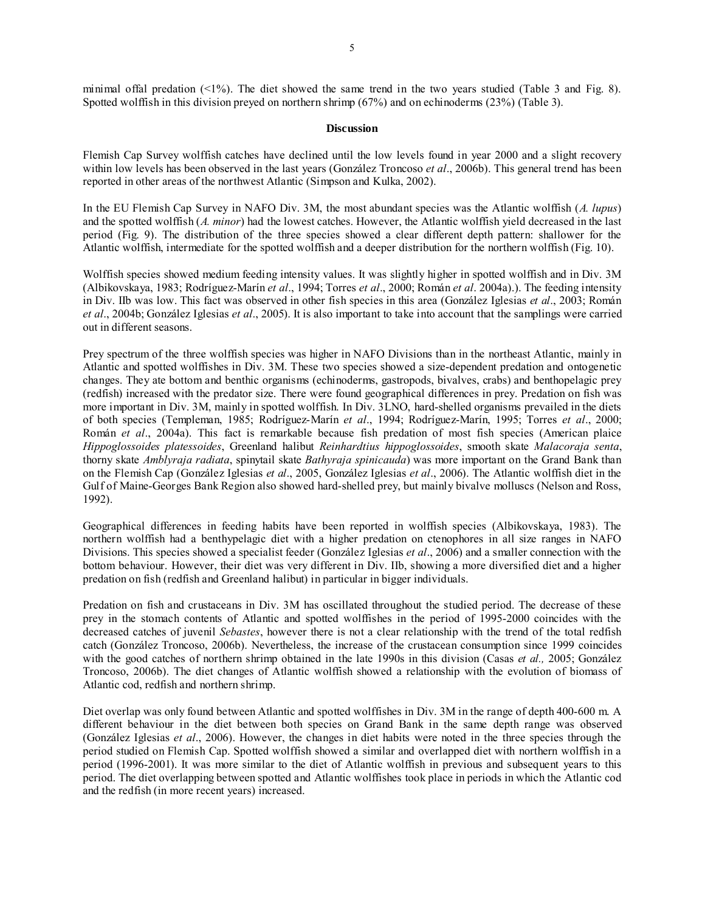minimal offal predation  $\langle 1\% \rangle$ . The diet showed the same trend in the two years studied (Table 3 and Fig. 8). Spotted wolffish in this division preyed on northern shrimp (67%) and on echinoderms (23%) (Table 3).

### **Discussion**

Flemish Cap Survey wolffish catches have declined until the low levels found in year 2000 and a slight recovery within low levels has been observed in the last years (González Troncoso *et al*., 2006b). This general trend has been reported in other areas of the northwest Atlantic (Simpson and Kulka, 2002).

In the EU Flemish Cap Survey in NAFO Div. 3M, the most abundant species was the Atlantic wolffish (*A. lupus*) and the spotted wolffish (*A. minor*) had the lowest catches. However, the Atlantic wolffish yield decreased in the last period (Fig. 9). The distribution of the three species showed a clear different depth pattern: shallower for the Atlantic wolffish, intermediate for the spotted wolffish and a deeper distribution for the northern wolffish (Fig. 10).

Wolffish species showed medium feeding intensity values. It was slightly higher in spotted wolffish and in Div. 3M (Albikovskaya, 1983; Rodríguez-Marín *et al*., 1994; Torres *et al*., 2000; Román *et al*. 2004a).). The feeding intensity in Div. IIb was low. This fact was observed in other fish species in this area (González Iglesias *et al*., 2003; Román *et al*., 2004b; González Iglesias *et al*., 2005). It is also important to take into account that the samplings were carried out in different seasons.

Prey spectrum of the three wolffish species was higher in NAFO Divisions than in the northeast Atlantic, mainly in Atlantic and spotted wolffishes in Div. 3M. These two species showed a size-dependent predation and ontogenetic changes. They ate bottom and benthic organisms (echinoderms, gastropods, bivalves, crabs) and benthopelagic prey (redfish) increased with the predator size. There were found geographical differences in prey. Predation on fish was more important in Div. 3M, mainly in spotted wolffish. In Div. 3LNO, hard-shelled organisms prevailed in the diets of both species (Templeman, 1985; Rodríguez-Marín *et al*., 1994; Rodríguez-Marín, 1995; Torres *et al*., 2000; Román *et al*., 2004a). This fact is remarkable because fish predation of most fish species (American plaice *Hippoglossoides platessoides*, Greenland halibut *Reinhardtius hippoglossoides*, smooth skate *Malacoraja senta*, thorny skate *Amblyraja radiata*, spinytail skate *Bathyraja spinicauda*) was more important on the Grand Bank than on the Flemish Cap (González Iglesias *et al*., 2005, González Iglesias *et al*., 2006). The Atlantic wolffish diet in the Gulf of Maine-Georges Bank Region also showed hard-shelled prey, but mainly bivalve molluscs (Nelson and Ross, 1992).

Geographical differences in feeding habits have been reported in wolffish species (Albikovskaya, 1983). The northern wolffish had a benthypelagic diet with a higher predation on ctenophores in all size ranges in NAFO Divisions. This species showed a specialist feeder (González Iglesias *et al*., 2006) and a smaller connection with the bottom behaviour. However, their diet was very different in Div. IIb, showing a more diversified diet and a higher predation on fish (redfish and Greenland halibut) in particular in bigger individuals.

Predation on fish and crustaceans in Div. 3M has oscillated throughout the studied period. The decrease of these prey in the stomach contents of Atlantic and spotted wolffishes in the period of 1995-2000 coincides with the decreased catches of juvenil *Sebastes*, however there is not a clear relationship with the trend of the total redfish catch (González Troncoso, 2006b). Nevertheless, the increase of the crustacean consumption since 1999 coincides with the good catches of northern shrimp obtained in the late 1990s in this division (Casas *et al.*, 2005; González Troncoso, 2006b). The diet changes of Atlantic wolffish showed a relationship with the evolution of biomass of Atlantic cod, redfish and northern shrimp.

Diet overlap was only found between Atlantic and spotted wolffishes in Div. 3M in the range of depth 400-600 m. A different behaviour in the diet between both species on Grand Bank in the same depth range was observed (González Iglesias *et al*., 2006). However, the changes in diet habits were noted in the three species through the period studied on Flemish Cap. Spotted wolffish showed a similar and overlapped diet with northern wolffish in a period (1996-2001). It was more similar to the diet of Atlantic wolffish in previous and subsequent years to this period. The diet overlapping between spotted and Atlantic wolffishes took place in periods in which the Atlantic cod and the redfish (in more recent years) increased.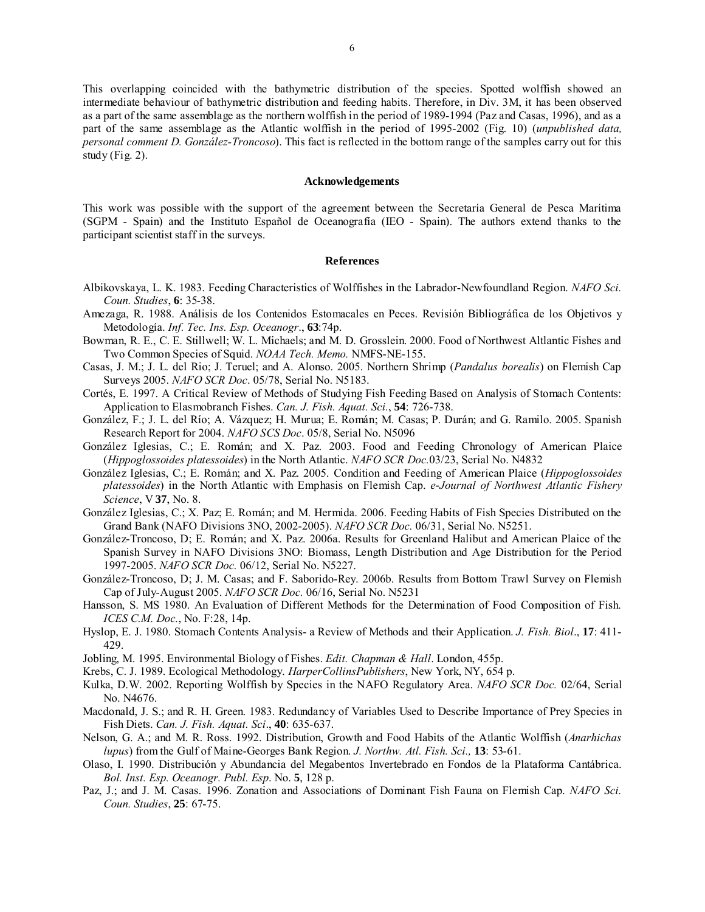This overlapping coincided with the bathymetric distribution of the species. Spotted wolffish showed an intermediate behaviour of bathymetric distribution and feeding habits. Therefore, in Div. 3M, it has been observed as a part of the same assemblage as the northern wolffish in the period of 1989-1994 (Paz and Casas, 1996), and as a part of the same assemblage as the Atlantic wolffish in the period of 1995-2002 (Fig. 10) (*unpublished data, personal comment D. González-Troncoso*). This fact is reflected in the bottom range of the samples carry out for this study (Fig. 2).

#### **Acknowledgements**

This work was possible with the support of the agreement between the Secretaría General de Pesca Marítima (SGPM - Spain) and the Instituto Español de Oceanografía (IEO - Spain). The authors extend thanks to the participant scientist staff in the surveys.

#### **References**

- Albikovskaya, L. K. 1983. Feeding Characteristics of Wolffishes in the Labrador-Newfoundland Region. *NAFO Sci. Coun. Studies*, **6**: 35-38.
- Amezaga, R. 1988. Análisis de los Contenidos Estomacales en Peces. Revisión Bibliográfica de los Objetivos y Metodología. *Inf. Tec. Ins. Esp. Oceanogr*., **63**:74p.
- Bowman, R. E., C. E. Stillwell; W. L. Michaels; and M. D. Grosslein. 2000. Food of Northwest Altlantic Fishes and Two Common Species of Squid. *NOAA Tech. Memo.* NMFS-NE-155.
- Casas, J. M.; J. L. del Rio; J. Teruel; and A. Alonso. 2005. Northern Shrimp (*Pandalus borealis*) on Flemish Cap Surveys 2005. *NAFO SCR Doc*. 05/78, Serial No. N5183.
- Cortés, E. 1997. A Critical Review of Methods of Studying Fish Feeding Based on Analysis of Stomach Contents: Application to Elasmobranch Fishes. *Can. J. Fish. Aquat. Sci.*, **54**: 726-738.
- González, F.; J. L. del Río; A. Vázquez; H. Murua; E. Román; M. Casas; P. Durán; and G. Ramilo. 2005. Spanish Research Report for 2004. *NAFO SCS Doc*. 05/8, Serial No. N5096
- González Iglesias, C.; E. Román; and X. Paz. 2003. Food and Feeding Chronology of American Plaice (*Hippoglossoides platessoides*) in the North Atlantic. *NAFO SCR Doc.*03/23, Serial No. N4832
- González Iglesias, C.; E. Román; and X. Paz. 2005. Condition and Feeding of American Plaice (*Hippoglossoides platessoides*) in the North Atlantic with Emphasis on Flemish Cap. *e-Journal of Northwest Atlantic Fishery Science*, V **37**, No. 8.
- González Iglesias, C.; X. Paz; E. Román; and M. Hermida. 2006. Feeding Habits of Fish Species Distributed on the Grand Bank (NAFO Divisions 3NO, 2002-2005). *NAFO SCR Doc.* 06/31, Serial No. N5251.
- González-Troncoso, D; E. Román; and X. Paz. 2006a. Results for Greenland Halibut and American Plaice of the Spanish Survey in NAFO Divisions 3NO: Biomass, Length Distribution and Age Distribution for the Period 1997-2005. *NAFO SCR Doc.* 06/12, Serial No. N5227.
- González-Troncoso, D; J. M. Casas; and F. Saborido-Rey. 2006b. Results from Bottom Trawl Survey on Flemish Cap of July-August 2005. *NAFO SCR Doc.* 06/16, Serial No. N5231
- Hansson, S. MS 1980. An Evaluation of Different Methods for the Determination of Food Composition of Fish. *ICES C.M. Doc.*, No. F:28, 14p.
- Hyslop, E. J. 1980. Stomach Contents Analysis- a Review of Methods and their Application. *J. Fish. Biol*., **17**: 411- 429.
- Jobling, M. 1995. Environmental Biology of Fishes. *Edit. Chapman & Hall*. London, 455p.
- Krebs, C. J. 1989. Ecological Methodology. *HarperCollinsPublishers*, New York, NY, 654 p.
- Kulka, D.W. 2002. Reporting Wolffish by Species in the NAFO Regulatory Area. *NAFO SCR Doc.* 02/64, Serial No. N4676.
- Macdonald, J. S.; and R. H. Green. 1983. Redundancy of Variables Used to Describe Importance of Prey Species in Fish Diets. *Can. J. Fish. Aquat. Sci*., **40**: 635-637.
- Nelson, G. A.; and M. R. Ross. 1992. Distribution, Growth and Food Habits of the Atlantic Wolffish (*Anarhichas lupus*) from the Gulf of Maine-Georges Bank Region. *J. Northw. Atl. Fish. Sci.,* **13**: 53-61.
- Olaso, I. 1990. Distribución y Abundancia del Megabentos Invertebrado en Fondos de la Plataforma Cantábrica. *Bol. Inst. Esp. Oceanogr. Publ. Esp*. No. **5**, 128 p.
- Paz, J.; and J. M. Casas. 1996. Zonation and Associations of Dominant Fish Fauna on Flemish Cap. *NAFO Sci. Coun. Studies*, **25**: 67-75.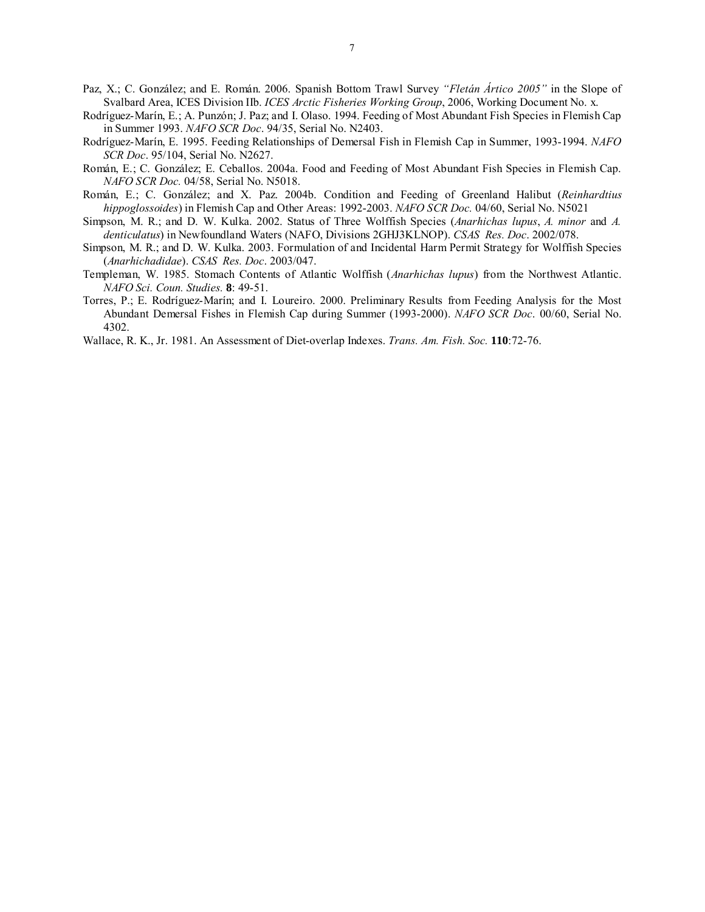- Paz, X.; C. González; and E. Román. 2006. Spanish Bottom Trawl Survey *"Fletán Ártico 2005"* in the Slope of Svalbard Area, ICES Division IIb. *ICES Arctic Fisheries Working Group*, 2006, Working Document No. x.
- Rodríguez-Marín, E.; A. Punzón; J. Paz; and I. Olaso. 1994. Feeding of Most Abundant Fish Species in Flemish Cap in Summer 1993. *NAFO SCR Doc*. 94/35, Serial No. N2403.
- Rodríguez-Marín, E. 1995. Feeding Relationships of Demersal Fish in Flemish Cap in Summer, 1993-1994. *NAFO SCR Doc*. 95/104, Serial No. N2627.
- Román, E.; C. González; E. Ceballos. 2004a. Food and Feeding of Most Abundant Fish Species in Flemish Cap. *NAFO SCR Doc.* 04/58, Serial No. N5018.
- Román, E.; C. González; and X. Paz. 2004b. Condition and Feeding of Greenland Halibut (*Reinhardtius hippoglossoides*) in Flemish Cap and Other Areas: 1992-2003. *NAFO SCR Doc.* 04/60, Serial No. N5021
- Simpson, M. R.; and D. W. Kulka. 2002. Status of Three Wolffish Species (*Anarhichas lupus*, *A. minor* and *A. denticulatus*) in Newfoundland Waters (NAFO, Divisions 2GHJ3KLNOP). *CSAS Res. Doc*. 2002/078.
- Simpson, M. R.; and D. W. Kulka. 2003. Formulation of and Incidental Harm Permit Strategy for Wolffish Species (*Anarhichadidae*). *CSAS Res. Doc*. 2003/047.
- Templeman, W. 1985. Stomach Contents of Atlantic Wolffish (*Anarhichas lupus*) from the Northwest Atlantic. *NAFO Sci. Coun. Studies.* **8**: 49-51.
- Torres, P.; E. Rodríguez-Marín; and I. Loureiro. 2000. Preliminary Results from Feeding Analysis for the Most Abundant Demersal Fishes in Flemish Cap during Summer (1993-2000). *NAFO SCR Doc*. 00/60, Serial No. 4302.
- Wallace, R. K., Jr. 1981. An Assessment of Diet-overlap Indexes. *Trans. Am. Fish. Soc.* **110**:72-76.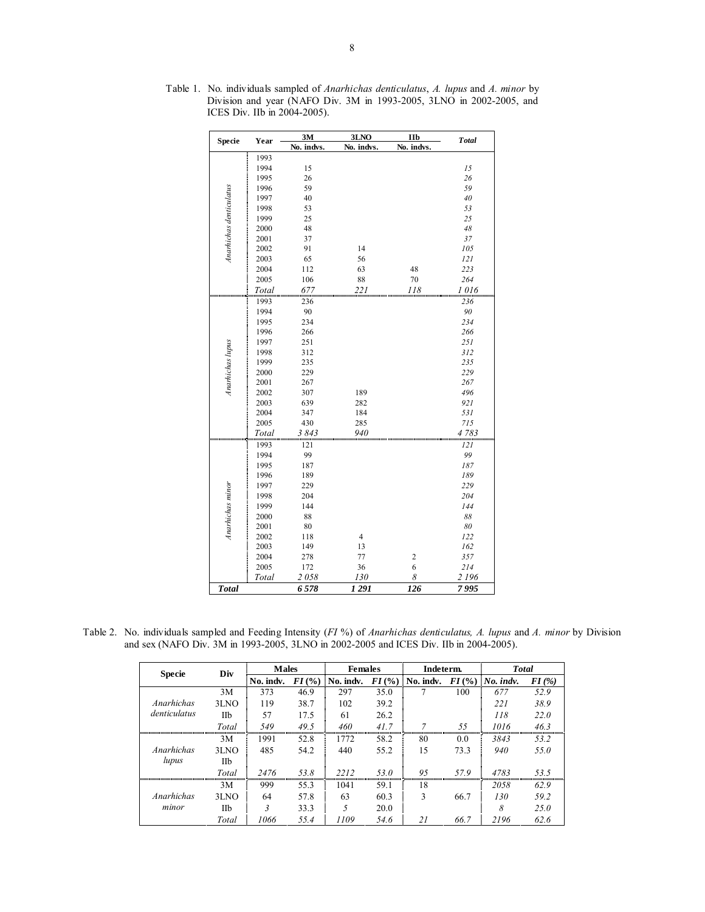| Specie                  | Year  | 3M         | 3LNO                    | IIb            | <b>Total</b> |
|-------------------------|-------|------------|-------------------------|----------------|--------------|
|                         |       | No. indvs. | No. indvs.              | No. indvs.     |              |
|                         | 1993  |            |                         |                |              |
|                         | 1994  | 15         |                         |                | 15           |
|                         | 1995  | 26         |                         |                | 26           |
|                         | 1996  | 59         |                         |                | 59           |
|                         | 1997  | 40         |                         |                | $40\,$       |
|                         | 1998  | 53         |                         |                | 53           |
| Anarhichas denticulatus | 1999  | 25         |                         |                | 25           |
|                         | 2000  | 48         |                         |                | 48           |
|                         | 2001  | 37         |                         |                | 37           |
|                         | 2002  | 91         | 14                      |                | 105          |
|                         | 2003  | 65         | 56                      |                | 121          |
|                         | 2004  | 112        | 63                      | 48             | 223          |
|                         | 2005  | 106        | 88                      | 70             | 264          |
|                         | Total | 677        | $^{221}$                | 118            | 1016         |
|                         | 1993  | 236        |                         |                | 236          |
|                         | 1994  | 90         |                         |                | 90           |
|                         | 1995  | 234        |                         |                | 234          |
|                         | 1996  | 266        |                         |                | 266          |
|                         | 1997  | 251        |                         |                | 251          |
| Anarhichas lupus        | 1998  | 312        |                         |                | 312          |
|                         | 1999  | 235        |                         |                | 235          |
|                         | 2000  | 229        |                         |                | 229          |
|                         | 2001  | 267        |                         |                | 267          |
|                         | 2002  | 307        | 189                     |                | 496          |
|                         | 2003  | 639        | 282                     |                | 921          |
|                         | 2004  | 347        | 184                     |                | 531          |
|                         | 2005  | 430        | 285                     |                | 715          |
|                         | Total | 3843       | 940                     |                | 4783         |
|                         | 1993  | 121        |                         |                | 121          |
|                         | 1994  | 99         |                         |                | 99           |
|                         | 1995  | 187        |                         |                | 187          |
|                         | 1996  | 189        |                         |                | 189          |
|                         | 1997  | 229        |                         |                | 229          |
|                         | 1998  | 204        |                         |                | 204          |
|                         | 1999  | 144        |                         |                | 144          |
| Anarhichas minor        | 2000  | 88         |                         |                | 88           |
|                         | 2001  | 80         |                         |                | 80           |
|                         | 2002  | 118        | $\overline{\mathbf{4}}$ |                | 122          |
|                         | 2003  | 149        | 13                      |                | 162          |
|                         | 2004  | 278        | 77                      | $\overline{c}$ | 357          |
|                         | 2005  | 172        | 36                      | 6              | 214          |
|                         | Total | 2058       | 130                     | 8              | 2 196        |
| <b>Total</b>            |       | 6578       | 1291                    | 126            | 7995         |

Table 1. No. individuals sampled of *Anarhichas denticulatus*, *A. lupus* and *A. minor* by Division and year (NAFO Div. 3M in 1993-2005, 3LNO in 2002-2005, and ICES Div. IIb in 2004-2005).

Table 2. No. individuals sampled and Feeding Intensity (*FI* %) of *Anarhichas denticulatus, A. lupus* and *A. minor* by Division and sex (NAFO Div. 3M in 1993-2005, 3LNO in 2002-2005 and ICES Div. IIb in 2004-2005).

| <b>Specie</b> | Div   | <b>Males</b> |          | <b>Females</b> |          | Indeterm. |      | <b>Total</b>       |          |
|---------------|-------|--------------|----------|----------------|----------|-----------|------|--------------------|----------|
|               |       | No. indv.    | $FI$ (%) | No. indv.      | $FI$ (%) | No. indv. |      | $FI$ (%) No. indv. | $FI$ (%) |
|               | 3M    | 373          | 46.9     | 297            | 35.0     |           | 100  | 677                | 52.9     |
| Anarhichas    | 3LNO  | 119          | 38.7     | 102            | 39.2     |           |      | 221                | 38.9     |
| denticulatus  | Пb    | 57           | 17.5     | 61             | 26.2     |           |      | 118                | 22.0     |
|               | Total | 549          | 49.5     | 460            | 41.7     |           | 55   | 1016               | 46.3     |
|               | 3M    | 1991         | 52.8     | 1772           | 58.2     | 80        | 0.0  | 3843               | 53.2     |
| Anarhichas    | 3LNO  | 485          | 54.2     | 440            | 55.2     | 15        | 73.3 | 940                | 55.0     |
| lupus         | Шb    |              |          |                |          |           |      |                    |          |
|               | Total | 2476         | 53.8     | 2212           | 53.0     | 95        | 57.9 | 4783               | 53.5     |
|               | 3M    | 999          | 55.3     | 1041           | 59.1     | 18        |      | 2058               | 62.9     |
| Anarhichas    | 3LNO  | 64           | 57.8     | 63             | 60.3     | 3         | 66.7 | 130                | 59.2     |
| minor         | Пb    | 3            | 33.3     | 5              | 20.0     |           |      | 8                  | 25.0     |
|               | Total | 1066         | 55.4     | 1109           | 54.6     | 21        | 66.7 | 2196               | 62.6     |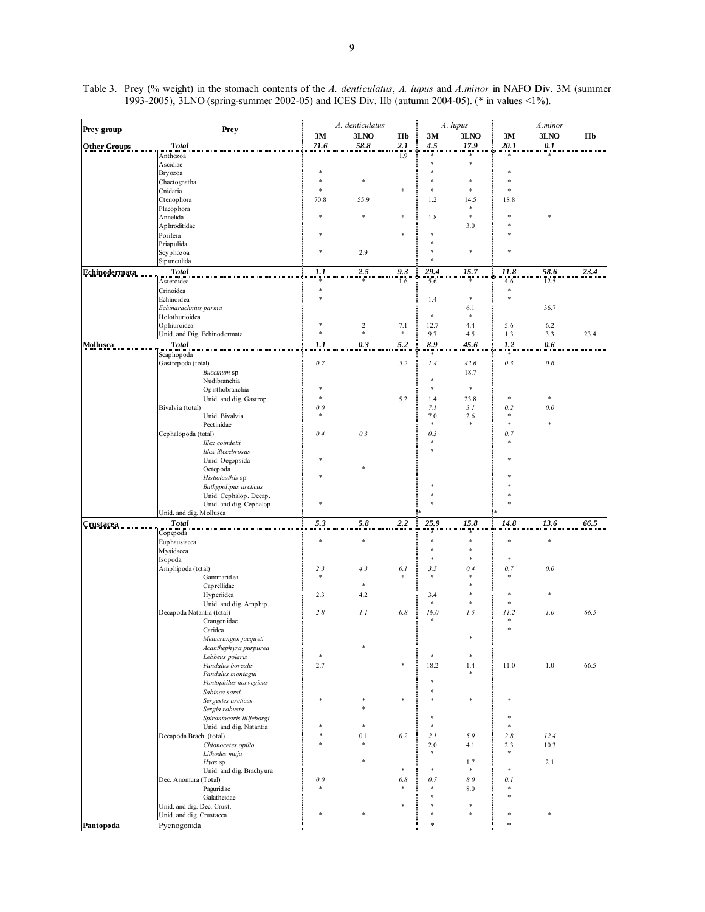| Prey group           | A. denticulatus                                        |               |                  |         | A. lupus      | A.minor     |               |               |      |
|----------------------|--------------------------------------------------------|---------------|------------------|---------|---------------|-------------|---------------|---------------|------|
|                      | Prey                                                   | 3M            | 3LNO             | IIb     | 3M            | 3LNO        | 3M            | 3LNO          | IIb  |
| <b>Other Groups</b>  | <b>Total</b>                                           | 71.6          | 58.8             | 2.1     | 4.5           | 17.9        | 20.1          | 0.1           |      |
|                      | Anthozoa                                               |               |                  | 1.9     |               |             |               | $\ast$        |      |
|                      | Ascidiae<br>Bryozoa                                    |               |                  |         | *             | s)          |               |               |      |
|                      | Chaetognatha                                           |               |                  |         |               |             |               |               |      |
|                      | Cnidaria                                               |               |                  |         |               |             |               |               |      |
|                      | Ctenophora                                             | 70.8          | 55.9             |         | 1.2           | 14.5        | 18.8          |               |      |
|                      | Placophora                                             |               |                  |         |               | *<br>$\ast$ |               |               |      |
|                      | Annelida<br>Aphroditidae                               |               |                  |         | 1.8           | 3.0         |               |               |      |
|                      | Porifera                                               |               |                  | ×       |               |             |               |               |      |
|                      | Priapulida                                             |               |                  |         |               |             |               |               |      |
|                      | Scyphozoa                                              |               | 2.9              |         |               | \$          |               |               |      |
|                      | Sipunculida                                            |               |                  |         |               |             |               |               |      |
| <b>Echinodermata</b> | Total                                                  | $\frac{1}{2}$ | 2.5              | 9.3     | 29.4          | 15.7        | 11.8          | 58.6          | 23.4 |
|                      | Asteroidea                                             | $\ast$        |                  | 1.6     | 5.6           |             | 4.6<br>$\ast$ | 12.5          |      |
|                      | Crinoidea<br>Echinoidea                                | s)            |                  |         | 1.4           | *           | $\ast$        |               |      |
|                      | Echinarachnius parma                                   |               |                  |         |               | 6.1         |               | 36.7          |      |
|                      | Holothurioidea                                         |               |                  |         | $\ast$        | $\ast$      |               |               |      |
|                      | Ophiuroidea                                            | \$            | $\boldsymbol{2}$ | 7.1     | 12.7          | 4.4         | 5.6           | 6.2           |      |
|                      | Unid. and Dig. Echinodermata                           | $\ast$        | $\ast$           | $\ast$  | 9.7           | 4.5         | 1.3           | 3.3           | 23.4 |
| <b>Mollusca</b>      | <b>Total</b>                                           | 1.1           | 0.3              | 5.2     | 8.9           | 45.6        | 1.2           | 0.6           |      |
|                      | Scaphopoda<br>Gastropoda (total)                       | 0.7           |                  | 5.2     | $\ast$<br>1.4 | 42.6        | $\ast$<br>0.3 | $0.6\,$       |      |
|                      | Buccinum sp                                            |               |                  |         |               | 18.7        |               |               |      |
|                      | Nudibranchia                                           |               |                  |         |               |             |               |               |      |
|                      | Opisthobranchia                                        | *             |                  |         | *             | *           |               |               |      |
|                      | Unid. and dig. Gastrop.                                | $\ast$        |                  | 5.2     | 1.4           | 23.8        | $\ast$        | $\ast$        |      |
|                      | Bivalvia (total)<br>Unid. Bivalvia                     | 0.0<br>$\ast$ |                  |         | 7.1<br>7.0    | 3.1<br>2.6  | 0.2<br>$\ast$ | 0.0           |      |
|                      | Pectinidae                                             |               |                  |         | $\ast$        | *           | $\frac{1}{2}$ | ×.            |      |
|                      | Cephalopoda (total)                                    | 0.4           | 0.3              |         | 0.3           |             | 0.7           |               |      |
|                      | Illex coindetii                                        |               |                  |         | $\ast$        |             | $\ast$        |               |      |
|                      | Illex illecebrosus                                     |               |                  |         |               |             |               |               |      |
|                      | Unid. Oegopsida                                        |               |                  |         |               |             |               |               |      |
|                      | Octopoda<br>Histioteuth is sp                          |               |                  |         |               |             |               |               |      |
|                      | Bathypolipus arcticus                                  |               |                  |         |               |             |               |               |      |
|                      | Unid. Cephalop. Decap.                                 |               |                  |         |               |             |               |               |      |
|                      | Unid. and dig. Cephalop.                               | ₩             |                  |         |               |             |               |               |      |
|                      | Unid. and dig. Mollusca                                |               |                  |         |               |             |               |               |      |
| Crustacea            | <b>Total</b>                                           | 5.3           | 5.8              | 2.2     | 25.9          | 15.8        | 14.8          | 13.6          | 66.5 |
|                      | Copepoda<br>Euphausiacea                               | ÷             | *                |         | $\ast$        |             | ś             | ×             |      |
|                      | Mysidacea                                              |               |                  |         | $\ast$        | 净           |               |               |      |
|                      | Isopoda                                                |               |                  |         | $\ast$        | ×           | *             |               |      |
|                      | Amphipoda (total)                                      | 2.3           | 4.3              | $0.1\,$ | 3.5           | 0.4         | 0.7           | 0.0           |      |
|                      | Gammaridea                                             | $\ast$        | *                |         | $\ast$        | *           |               |               |      |
|                      | Caprellidae<br>Hyperiidea                              | 2.3           | 4.2              |         | 3.4           |             |               | *             |      |
|                      | Unid. and dig. Amphip.                                 |               |                  |         | $\ast$        | *           | ÷             |               |      |
|                      | Decapoda Natantia (total)                              | 2.8           | 1.1              | $0.8$   | 19.0          | 1.5         | 11.2          | 1.0           | 66.5 |
|                      | Crangonidae                                            |               |                  |         |               |             | ÷             |               |      |
|                      | Caridea                                                |               |                  |         |               |             | \$            |               |      |
|                      | Metacrangon jacqueti<br>Acanthephyra purpurea          |               |                  |         |               |             |               |               |      |
|                      | Lebbeus polaris                                        | *             |                  |         |               | *           |               |               |      |
|                      | Pandalus borealis                                      | 2.7           |                  |         | 18.2          | 1.4         | 11.0          | $1.0\,$       | 66.5 |
|                      | Pandalus montagui                                      |               |                  |         |               | *           |               |               |      |
|                      | Pontophilus norvegicus                                 |               |                  |         |               |             |               |               |      |
|                      | Sabinea sarsi                                          |               |                  |         |               | *           |               |               |      |
|                      | Sergestes arcticus<br>Sergia robusta                   |               |                  |         |               |             |               |               |      |
|                      | Spirontocaris lilljeborgi                              |               |                  |         |               |             |               |               |      |
|                      | Unid. and dig. Natantia                                |               | $\ast$           |         | $\ast$        |             | \$            |               |      |
|                      | Decapoda Brach. (total)                                |               | 0.1              | 0.2     | 2.1           | 5.9         | 2.8           | 12.4          |      |
|                      | Chionocetes opilio                                     |               | *                |         | 2.0           | 4.1         | 2.3           | 10.3          |      |
|                      | Lithodes maja<br>Hyas sp                               |               |                  |         | $\ast$        | 1.7         | $\ast$        | 2.1           |      |
|                      | Unid. and dig. Brachyura                               |               |                  | 净       | $\ast$        | $\ast$      | \$            |               |      |
|                      | Dec. Anomura (Total)                                   | $0.0\,$       |                  | $0.8$   | 0.7           | 8.0         | 0.1           |               |      |
|                      | Paguridae                                              |               |                  |         | $\ast$        | 8.0         | $\ast$        |               |      |
|                      | Galatheidae                                            |               |                  |         |               | $\ast$      | \$            |               |      |
|                      | Unid. and dig. Dec. Crust.<br>Unid. and dig. Crustacea | $\ast$        | $\ast$           |         | $\ast$        | *           | $\ast$        | $\frac{1}{2}$ |      |
| Pantopoda            | Pycnogonida                                            |               |                  |         | $\ast$        |             | $\ast$        |               |      |
|                      |                                                        |               |                  |         |               |             |               |               |      |

Table 3. Prey (% weight) in the stomach contents of the *A. denticulatus*, *A. lupus* and *A.minor* in NAFO Div. 3M (summer 1993-2005), 3LNO (spring-summer 2002-05) and ICES Div. IIb (autumn 2004-05). (\* in values <1%).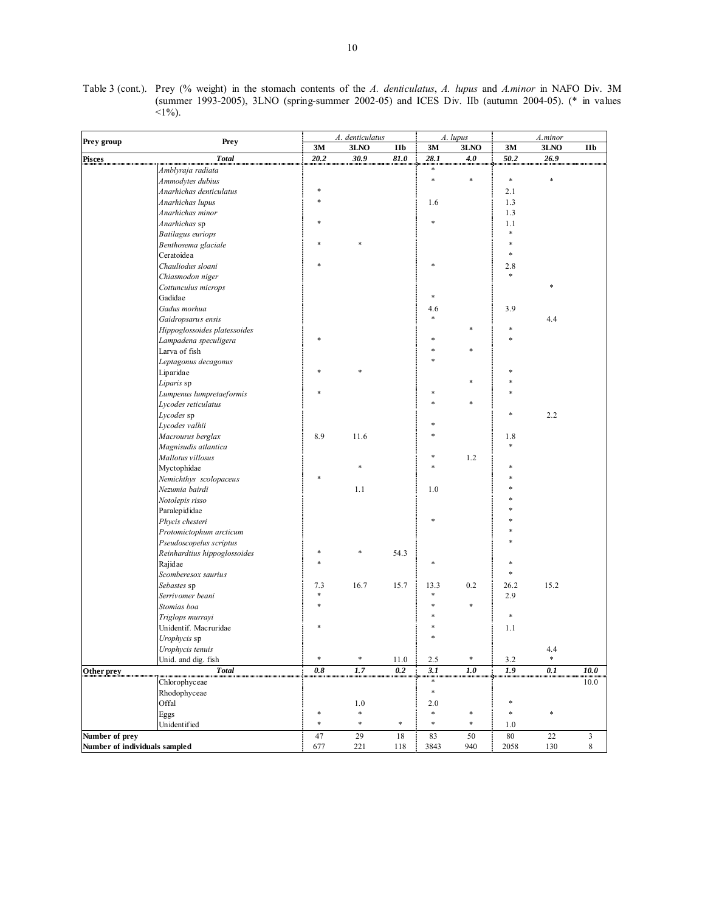| Table 3 (cont.). Prey (% weight) in the stomach contents of the A. denticulatus, A. lupus and A.minor in NAFO Div. 3M |              |                                                                                                   |  |  |  |  |  |
|-----------------------------------------------------------------------------------------------------------------------|--------------|---------------------------------------------------------------------------------------------------|--|--|--|--|--|
|                                                                                                                       |              | (summer 1993-2005), 3LNO (spring-summer 2002-05) and ICES Div. IIb (autumn 2004-05). (* in values |  |  |  |  |  |
|                                                                                                                       | $\leq$ 1\%). |                                                                                                   |  |  |  |  |  |

|                                                 |                                        |         | A. denticulatus |        |        | A. lupus |         | A.minor |                           |
|-------------------------------------------------|----------------------------------------|---------|-----------------|--------|--------|----------|---------|---------|---------------------------|
| Prey group                                      | <b>Prey</b>                            | 3M      | 3LNO            | IIb    | 3M     | $3LNO$   | 3M      | 3LNO    | IIb                       |
| <b>Pisces</b>                                   | <b>Total</b>                           | 20.2    | 30.9            | 81.0   | 28.1   | 4.0      | 50.2    | 26.9    |                           |
|                                                 | Amblyraja radiata                      |         |                 |        | ∗      |          |         |         |                           |
|                                                 | Ammodytes dubius                       |         |                 |        | $\ast$ | ×        | $\ast$  | ź,      |                           |
|                                                 | Anarhichas denticulatus                |         |                 |        |        |          | 2.1     |         |                           |
|                                                 | Anarhichas lupus                       |         |                 |        | 1.6    |          | 1.3     |         |                           |
|                                                 | Anarhichas minor                       |         |                 |        |        |          | 1.3     |         |                           |
|                                                 | Anarhichas sp                          |         |                 |        |        |          | 1.1     |         |                           |
|                                                 | <b>Batilagus</b> euriops               |         |                 |        |        |          | $\ast$  |         |                           |
|                                                 | Benthosema glaciale                    |         |                 |        |        |          |         |         |                           |
|                                                 | Ceratoidea                             |         |                 |        |        |          |         |         |                           |
|                                                 | Chauliodus sloani                      |         |                 |        |        |          | 2.8     |         |                           |
|                                                 | Chiasmodon niger                       |         |                 |        |        |          | $\ast$  |         |                           |
|                                                 | Cottunculus microps                    |         |                 |        |        |          |         |         |                           |
|                                                 | Gadidae                                |         |                 |        |        |          |         |         |                           |
|                                                 | Gadus morhua                           |         |                 |        | 4.6    |          | 3.9     |         |                           |
|                                                 | Gaidropsarus ensis                     |         |                 |        |        |          |         | 4.4     |                           |
|                                                 | Hippoglossoides platessoides           |         |                 |        |        |          | *       |         |                           |
|                                                 |                                        |         |                 |        |        |          |         |         |                           |
|                                                 | Lampadena speculigera<br>Larva of fish |         |                 |        |        |          |         |         |                           |
|                                                 |                                        |         |                 |        |        |          |         |         |                           |
|                                                 | Leptagonus decagonus                   |         |                 |        |        |          |         |         |                           |
|                                                 | Liparidae                              |         |                 |        |        |          |         |         |                           |
|                                                 | Liparis sp                             |         |                 |        |        |          |         |         |                           |
|                                                 | Lumpenus lumpretaeformis               |         |                 |        |        |          |         |         |                           |
|                                                 | Lycodes reticulatus                    |         |                 |        |        |          |         |         |                           |
|                                                 | Lycodes sp                             |         |                 |        |        |          |         | 2.2     |                           |
|                                                 | Lycodes valhii                         |         |                 |        |        |          |         |         |                           |
|                                                 | Macrourus berglax                      | 8.9     | 11.6            |        |        |          | 1.8     |         |                           |
|                                                 | Magnisudis atlantica                   |         |                 |        |        |          |         |         |                           |
|                                                 | Mallotus villosus                      |         |                 |        |        | 1.2      |         |         |                           |
|                                                 | Myctophidae                            |         | *               |        |        |          |         |         |                           |
|                                                 | Nemichthys scolopaceus                 |         |                 |        |        |          |         |         |                           |
|                                                 | Nezumia bairdi                         |         | 1.1             |        | 1.0    |          |         |         |                           |
|                                                 | Notolepis risso                        |         |                 |        |        |          |         |         |                           |
|                                                 | Paralepididae                          |         |                 |        |        |          |         |         |                           |
|                                                 | Phycis chesteri                        |         |                 |        |        |          |         |         |                           |
|                                                 | Protomictophum arcticum                |         |                 |        |        |          |         |         |                           |
|                                                 | Pseudoscopelus scriptus                |         |                 |        |        |          |         |         |                           |
|                                                 | Reinhardtius hippoglossoides           |         | *               | 54.3   |        |          |         |         |                           |
|                                                 | Rajidae                                |         |                 |        |        |          |         |         |                           |
|                                                 | Scomberesox saurius                    |         |                 |        |        |          |         |         |                           |
|                                                 | Sebastes sp                            | 7.3     | 16.7            | 15.7   | 13.3   | 0.2      | 26.2    | 15.2    |                           |
|                                                 | Serrivomer beani                       |         |                 |        |        |          | 2.9     |         |                           |
|                                                 | Stomias boa                            |         |                 |        |        | *        |         |         |                           |
|                                                 | Triglops murrayi                       |         |                 |        |        |          | *       |         |                           |
|                                                 | Unidentif. Macruridae                  |         |                 |        |        |          | 1.1     |         |                           |
|                                                 | Urophycis sp                           |         |                 |        |        |          |         |         |                           |
|                                                 | Urophycis tenuis                       |         |                 |        |        |          |         | 4.4     |                           |
|                                                 | Unid. and dig. fish                    | $\ast$  | $\ast$          | 11.0   | 2.5    | $\ast$   | $3.2\,$ | $\ast$  |                           |
| Other prey                                      | <b>Total</b>                           | $0.8\,$ | 1.7             | 0.2    | 3.1    | 1.0      | 1.9     | 0.1     | 10.0                      |
|                                                 | Chlorophyceae                          |         |                 |        | $\ast$ |          |         |         | $10.0\,$                  |
|                                                 | Rhodophyceae                           |         |                 |        | $\ast$ |          |         |         |                           |
|                                                 | Offal                                  |         | $1.0\,$         |        | 2.0    |          | *       |         |                           |
|                                                 | Eggs                                   | *       | *               |        | *      | $\ast$   | $\ast$  | $\ast$  |                           |
|                                                 | Unidentified                           | *       | *               | $\ast$ | *      | $\ast$   | $1.0\,$ |         |                           |
|                                                 |                                        |         |                 |        |        |          |         |         |                           |
| Number of prey<br>Number of individuals sampled |                                        | 47      | 29              | 18     | 83     | 50       | $80\,$  | 22      | $\mathfrak{Z}$<br>$\,8\,$ |
|                                                 |                                        | 677     | 221             | 118    | 3843   | 940      | 2058    | 130     |                           |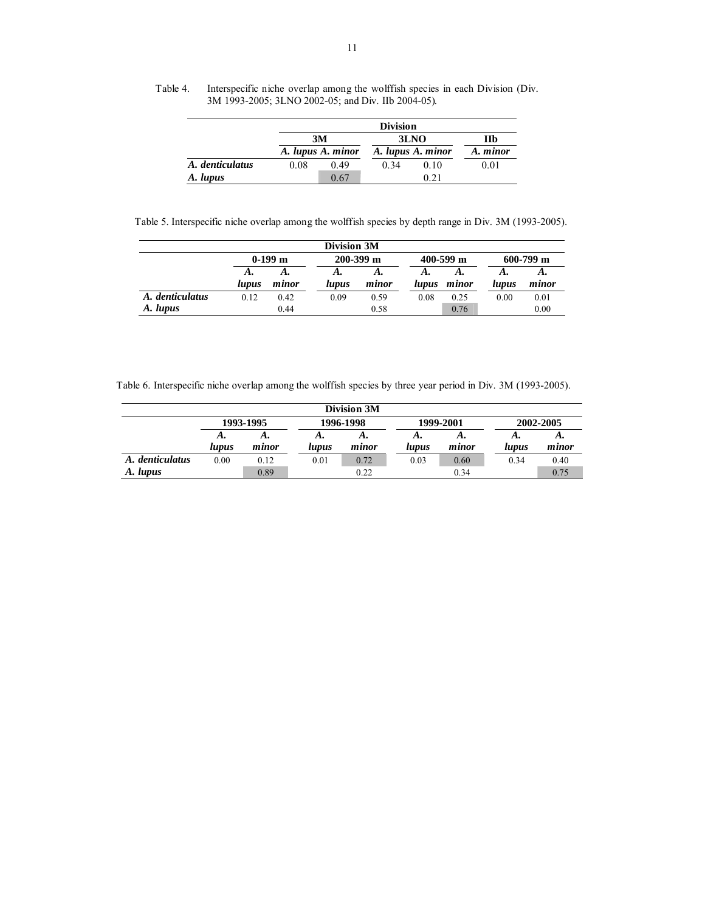|                 |      | <b>Division</b>   |      |                   |          |  |  |  |  |  |  |
|-----------------|------|-------------------|------|-------------------|----------|--|--|--|--|--|--|
|                 |      | 3M                |      | 3LNO              | Пb       |  |  |  |  |  |  |
|                 |      | A. lupus A. minor |      | A. lupus A. minor | A. minor |  |  |  |  |  |  |
| A. denticulatus | 0.08 | 0.49              | 0.34 | 0.10              | 0.01     |  |  |  |  |  |  |
| A. lupus        |      | 0.67              |      | 0 21              |          |  |  |  |  |  |  |

Table 4. Interspecific niche overlap among the wolffish species in each Division (Div. 3M 1993-2005; 3LNO 2002-05; and Div. IIb 2004-05).

Table 5. Interspecific niche overlap among the wolffish species by depth range in Div. 3M (1993-2005).

| Division 3M     |           |       |               |       |               |       |               |       |  |  |  |
|-----------------|-----------|-------|---------------|-------|---------------|-------|---------------|-------|--|--|--|
|                 | $0-199$ m |       | $200 - 399$ m |       | $400 - 599$ m |       | $600 - 799$ m |       |  |  |  |
|                 | А.        | А.    | А.            | А.    | А.            | А.    | А.            | А.    |  |  |  |
|                 | lupus     | minor | lupus         | minor | lupus         | minor | lupus         | minor |  |  |  |
| A. denticulatus | 0.12      | 0.42  | 0.09          | 0.59  | 0.08          | 0.25  | 0.00          | 0.01  |  |  |  |
| A. lupus        |           | 0.44  |               | 0.58  |               | 0.76  |               | 0.00  |  |  |  |

Table 6. Interspecific niche overlap among the wolffish species by three year period in Div. 3M (1993-2005).

| Division 3M     |           |       |       |           |       |           |           |       |  |  |  |  |  |
|-----------------|-----------|-------|-------|-----------|-------|-----------|-----------|-------|--|--|--|--|--|
|                 | 1993-1995 |       |       | 1996-1998 |       | 1999-2001 | 2002-2005 |       |  |  |  |  |  |
|                 | А.        | А.    | А.    | л.        | А.    | А.        | А.        | А.    |  |  |  |  |  |
|                 | lupus     | minor | lupus | minor     | lupus | minor     | lupus     | minor |  |  |  |  |  |
| A. denticulatus | 0.00      | 0.12  | 0.01  | 0.72      | 0.03  | 0.60      | 0.34      | 0.40  |  |  |  |  |  |
| A. lupus        |           | 0.89  |       | 0.22      |       | 0.34      |           | 0.75  |  |  |  |  |  |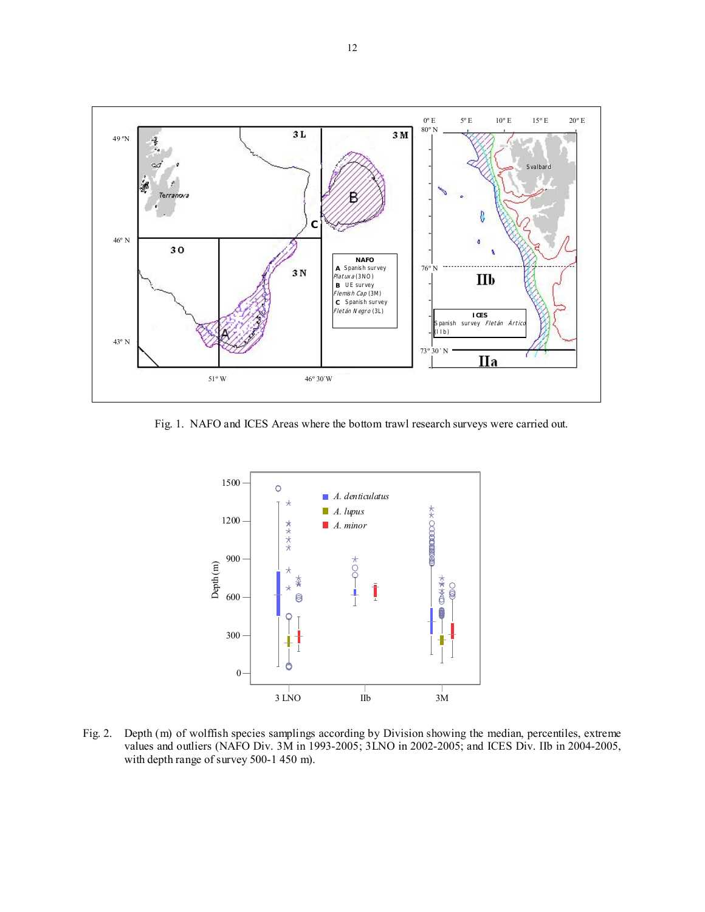

Fig. 1. NAFO and ICES Areas where the bottom trawl research surveys were carried out.



Fig. 2. Depth (m) of wolffish species samplings according by Division showing the median, percentiles, extreme values and outliers (NAFO Div. 3M in 1993-2005; 3LNO in 2002-2005; and ICES Div. IIb in 2004-2005, with depth range of survey 500-1 450 m).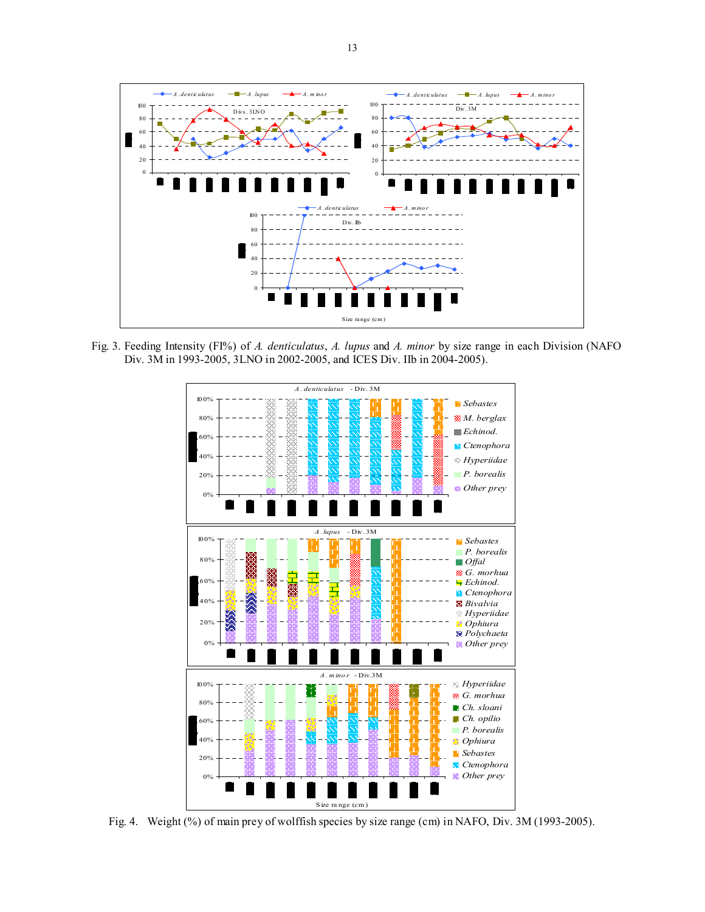

 Fig. 3. Feeding Intensity (FI%) of *A. denticulatus*, *A. lupus* and *A. minor* by size range in each Division (NAFO Div. 3M in 1993-2005, 3LNO in 2002-2005, and ICES Div. IIb in 2004-2005).



Fig. 4. Weight (%) of main prey of wolffish species by size range (cm) in NAFO, Div. 3M (1993-2005).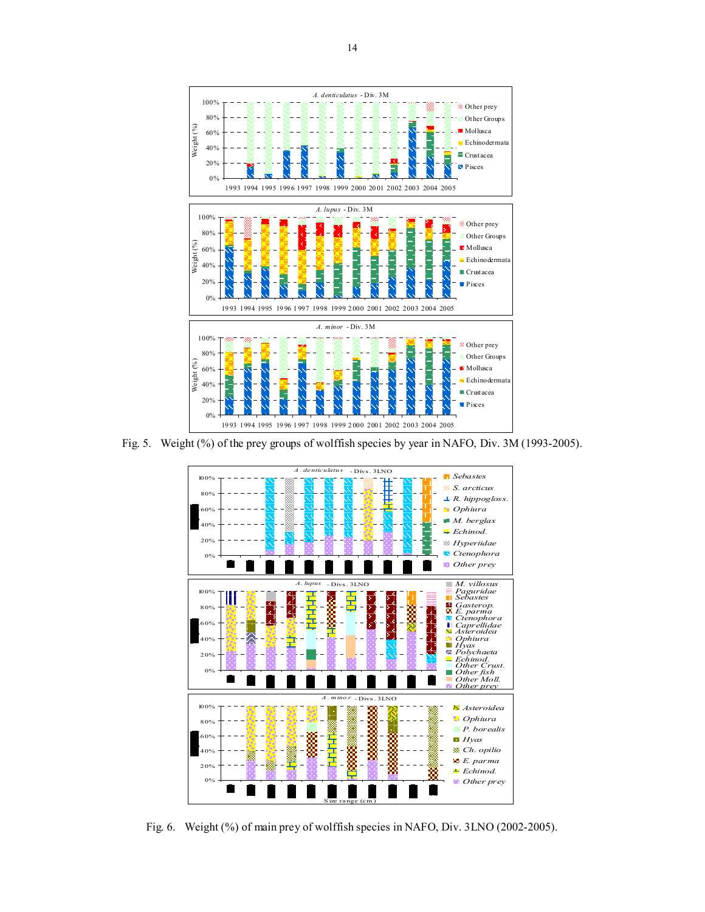

Fig. 5. Weight (%) of the prey groups of wolffish species by year in NAFO, Div. 3M (1993-2005).



Fig. 6. Weight (%) of main prey of wolffish species in NAFO, Div. 3LNO (2002-2005).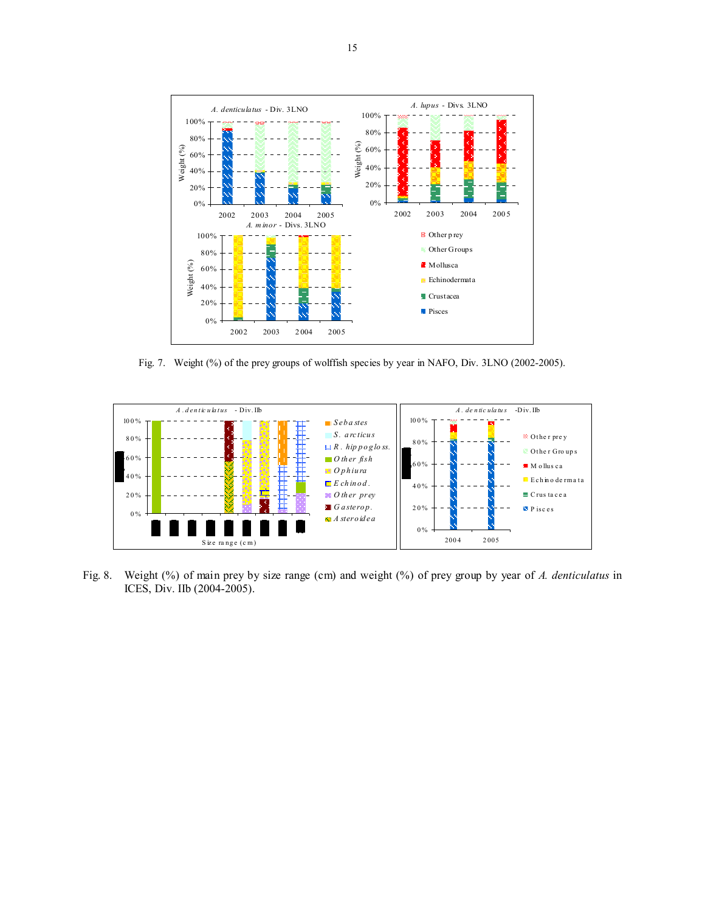

Fig. 7. Weight (%) of the prey groups of wolffish species by year in NAFO, Div. 3LNO (2002-2005).



Fig. 8. Weight (%) of main prey by size range (cm) and weight (%) of prey group by year of *A. denticulatus* in ICES, Div. IIb (2004-2005).